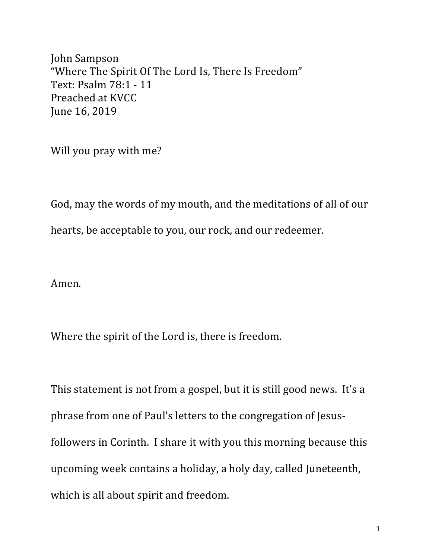John Sampson "Where The Spirit Of The Lord Is, There Is Freedom" Text: Psalm 78:1 - 11 Preached at KVCC June 16, 2019

Will you pray with me?

God, may the words of my mouth, and the meditations of all of our hearts, be acceptable to you, our rock, and our redeemer.

Amen.

Where the spirit of the Lord is, there is freedom.

This statement is not from a gospel, but it is still good news. It's a phrase from one of Paul's letters to the congregation of Jesusfollowers in Corinth. I share it with you this morning because this upcoming week contains a holiday, a holy day, called Juneteenth, which is all about spirit and freedom.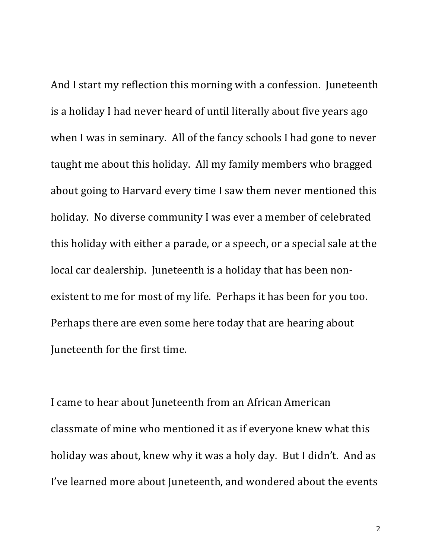And I start my reflection this morning with a confession. Juneteenth is a holiday I had never heard of until literally about five years ago when I was in seminary. All of the fancy schools I had gone to never taught me about this holiday. All my family members who bragged about going to Harvard every time I saw them never mentioned this holiday. No diverse community I was ever a member of celebrated this holiday with either a parade, or a speech, or a special sale at the local car dealership. Juneteenth is a holiday that has been nonexistent to me for most of my life. Perhaps it has been for you too. Perhaps there are even some here today that are hearing about Juneteenth for the first time.

I came to hear about Juneteenth from an African American classmate of mine who mentioned it as if everyone knew what this holiday was about, knew why it was a holy day. But I didn't. And as I've learned more about Juneteenth, and wondered about the events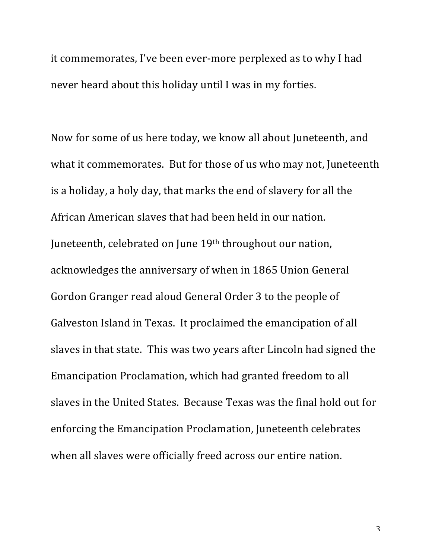it commemorates, I've been ever-more perplexed as to why I had never heard about this holiday until I was in my forties.

Now for some of us here today, we know all about Juneteenth, and what it commemorates. But for those of us who may not, Juneteenth is a holiday, a holy day, that marks the end of slavery for all the African American slaves that had been held in our nation. Juneteenth, celebrated on June 19<sup>th</sup> throughout our nation, acknowledges the anniversary of when in 1865 Union General Gordon Granger read aloud General Order 3 to the people of Galveston Island in Texas. It proclaimed the emancipation of all slaves in that state. This was two years after Lincoln had signed the Emancipation Proclamation, which had granted freedom to all slaves in the United States. Because Texas was the final hold out for enforcing the Emancipation Proclamation, Juneteenth celebrates when all slaves were officially freed across our entire nation.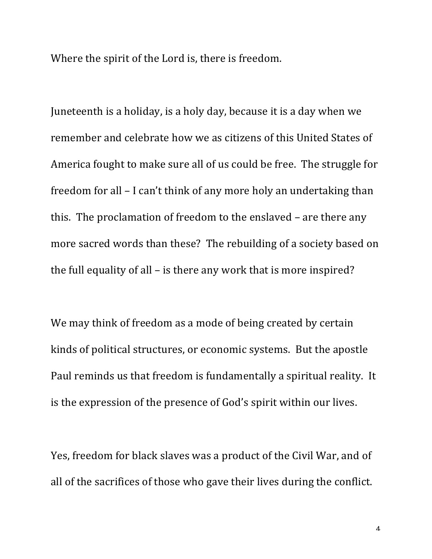Where the spirit of the Lord is, there is freedom.

Juneteenth is a holiday, is a holy day, because it is a day when we remember and celebrate how we as citizens of this United States of America fought to make sure all of us could be free. The struggle for freedom for all  $-$  I can't think of any more holy an undertaking than this. The proclamation of freedom to the enslaved  $-$  are there any more sacred words than these? The rebuilding of a society based on the full equality of all  $-$  is there any work that is more inspired?

We may think of freedom as a mode of being created by certain kinds of political structures, or economic systems. But the apostle Paul reminds us that freedom is fundamentally a spiritual reality. It is the expression of the presence of God's spirit within our lives.

Yes, freedom for black slaves was a product of the Civil War, and of all of the sacrifices of those who gave their lives during the conflict.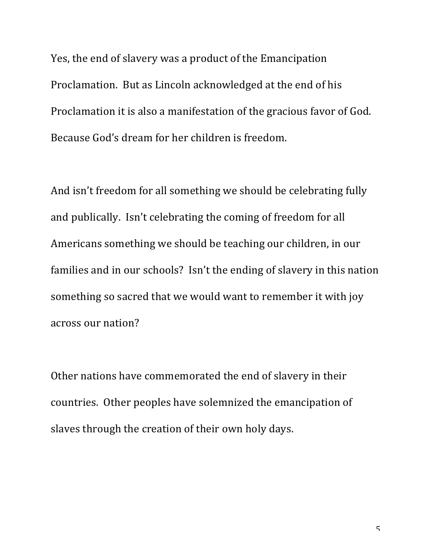Yes, the end of slavery was a product of the Emancipation Proclamation. But as Lincoln acknowledged at the end of his Proclamation it is also a manifestation of the gracious favor of God. Because God's dream for her children is freedom.

And isn't freedom for all something we should be celebrating fully and publically. Isn't celebrating the coming of freedom for all Americans something we should be teaching our children, in our families and in our schools? Isn't the ending of slavery in this nation something so sacred that we would want to remember it with joy across our nation?

Other nations have commemorated the end of slavery in their countries. Other peoples have solemnized the emancipation of slaves through the creation of their own holy days.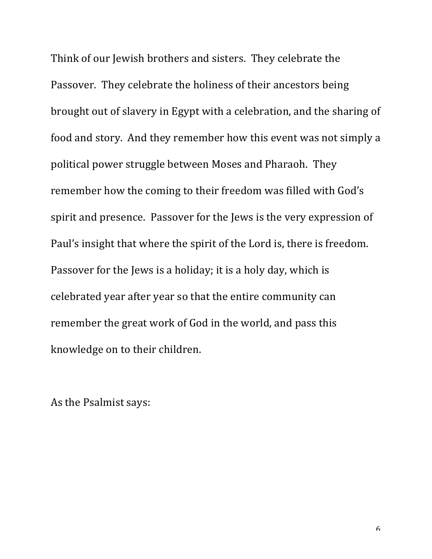Think of our Jewish brothers and sisters. They celebrate the Passover. They celebrate the holiness of their ancestors being brought out of slavery in Egypt with a celebration, and the sharing of food and story. And they remember how this event was not simply a political power struggle between Moses and Pharaoh. They remember how the coming to their freedom was filled with God's spirit and presence. Passover for the Jews is the very expression of Paul's insight that where the spirit of the Lord is, there is freedom. Passover for the Jews is a holiday; it is a holy day, which is celebrated year after year so that the entire community can remember the great work of God in the world, and pass this knowledge on to their children.

As the Psalmist says: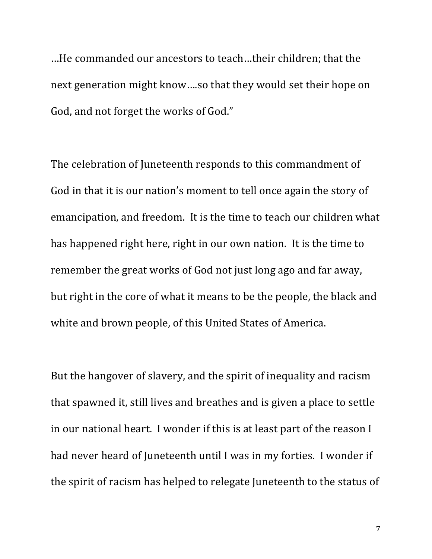...He commanded our ancestors to teach...their children; that the next generation might know....so that they would set their hope on God, and not forget the works of God."

The celebration of Juneteenth responds to this commandment of God in that it is our nation's moment to tell once again the story of emancipation, and freedom. It is the time to teach our children what has happened right here, right in our own nation. It is the time to remember the great works of God not just long ago and far away, but right in the core of what it means to be the people, the black and white and brown people, of this United States of America.

But the hangover of slavery, and the spirit of inequality and racism that spawned it, still lives and breathes and is given a place to settle in our national heart. I wonder if this is at least part of the reason I had never heard of Juneteenth until I was in my forties. I wonder if the spirit of racism has helped to relegate Juneteenth to the status of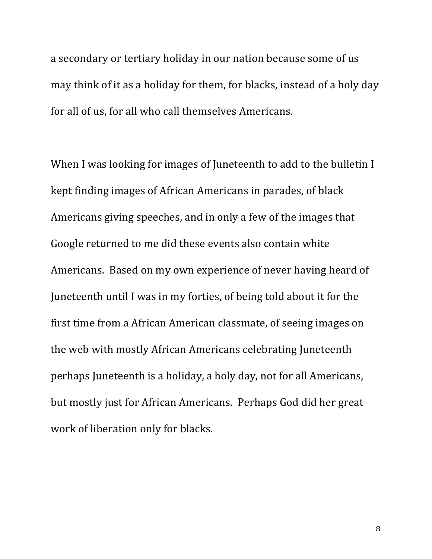a secondary or tertiary holiday in our nation because some of us may think of it as a holiday for them, for blacks, instead of a holy day for all of us, for all who call themselves Americans.

When I was looking for images of Juneteenth to add to the bulletin I kept finding images of African Americans in parades, of black Americans giving speeches, and in only a few of the images that Google returned to me did these events also contain white Americans. Based on my own experience of never having heard of Juneteenth until I was in my forties, of being told about it for the first time from a African American classmate, of seeing images on the web with mostly African Americans celebrating Juneteenth perhaps Juneteenth is a holiday, a holy day, not for all Americans, but mostly just for African Americans. Perhaps God did her great work of liberation only for blacks.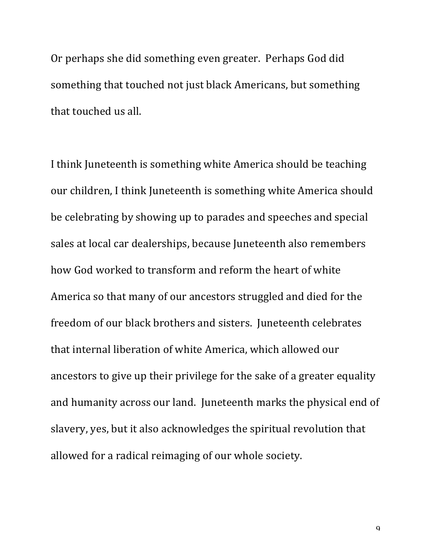Or perhaps she did something even greater. Perhaps God did something that touched not just black Americans, but something that touched us all.

I think Juneteenth is something white America should be teaching our children, I think Juneteenth is something white America should be celebrating by showing up to parades and speeches and special sales at local car dealerships, because Juneteenth also remembers how God worked to transform and reform the heart of white America so that many of our ancestors struggled and died for the freedom of our black brothers and sisters. Juneteenth celebrates that internal liberation of white America, which allowed our ancestors to give up their privilege for the sake of a greater equality and humanity across our land. Juneteenth marks the physical end of slavery, yes, but it also acknowledges the spiritual revolution that allowed for a radical reimaging of our whole society.

 $\overline{Q}$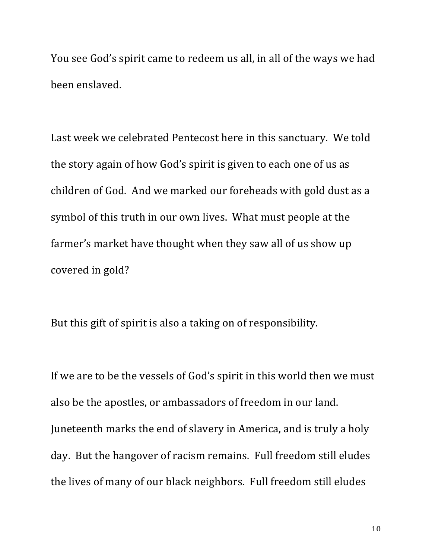You see God's spirit came to redeem us all, in all of the ways we had been enslaved.

Last week we celebrated Pentecost here in this sanctuary. We told the story again of how God's spirit is given to each one of us as children of God. And we marked our foreheads with gold dust as a symbol of this truth in our own lives. What must people at the farmer's market have thought when they saw all of us show up covered in gold?

But this gift of spirit is also a taking on of responsibility.

If we are to be the vessels of God's spirit in this world then we must also be the apostles, or ambassadors of freedom in our land. Juneteenth marks the end of slavery in America, and is truly a holy day. But the hangover of racism remains. Full freedom still eludes the lives of many of our black neighbors. Full freedom still eludes